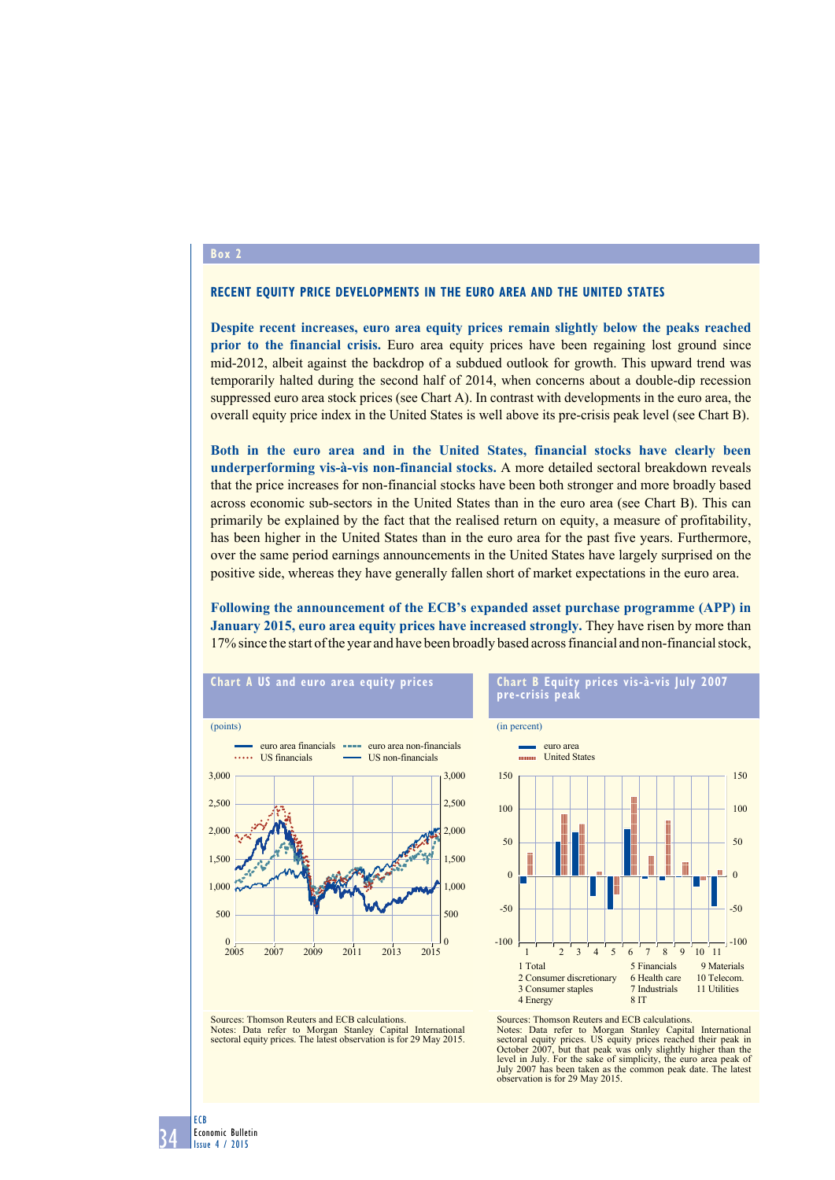### **Box 2**

### **Recent equity price developments in the euro area and the United States**

**Despite recent increases, euro area equity prices remain slightly below the peaks reached prior to the financial crisis.** Euro area equity prices have been regaining lost ground since mid-2012, albeit against the backdrop of a subdued outlook for growth. This upward trend was temporarily halted during the second half of 2014, when concerns about a double-dip recession suppressed euro area stock prices (see Chart A). In contrast with developments in the euro area, the overall equity price index in the United States is well above its pre-crisis peak level (see Chart B).

**Both in the euro area and in the United States, financial stocks have clearly been underperforming vis-à-vis non-financial stocks.** A more detailed sectoral breakdown reveals that the price increases for non-financial stocks have been both stronger and more broadly based across economic sub-sectors in the United States than in the euro area (see Chart B). This can primarily be explained by the fact that the realised return on equity, a measure of profitability, has been higher in the United States than in the euro area for the past five years. Furthermore, over the same period earnings announcements in the United States have largely surprised on the positive side, whereas they have generally fallen short of market expectations in the euro area.

**Following the announcement of the ECB's expanded asset purchase programme (APP) in January 2015, euro area equity prices have increased strongly.** They have risen by more than 17% since the start of the year and have been broadly based across financial and non-financial stock,



### **chart B Equity prices vis-à-vis July 2007 pre-crisis peak**



Sources: Thomson Reuters and ECB calculations. Notes: Data refer to Morgan Stanley Capital International sectoral equity prices. The latest observation is for 29 May 2015.

Sources: Thomson Reuters and ECB calculations. Notes: Data refer to Morgan Stanley Capital International sectoral equity prices. US equity prices reached their peak in October 2007, but that peak was only slightly higher than the level in July. For the sake of simplicity, the euro area peak of July 2007 has been taken as the common peak date. The latest observation is for 29 May 2015.

34 ECB Economic Bulletin Issue 4 / 2015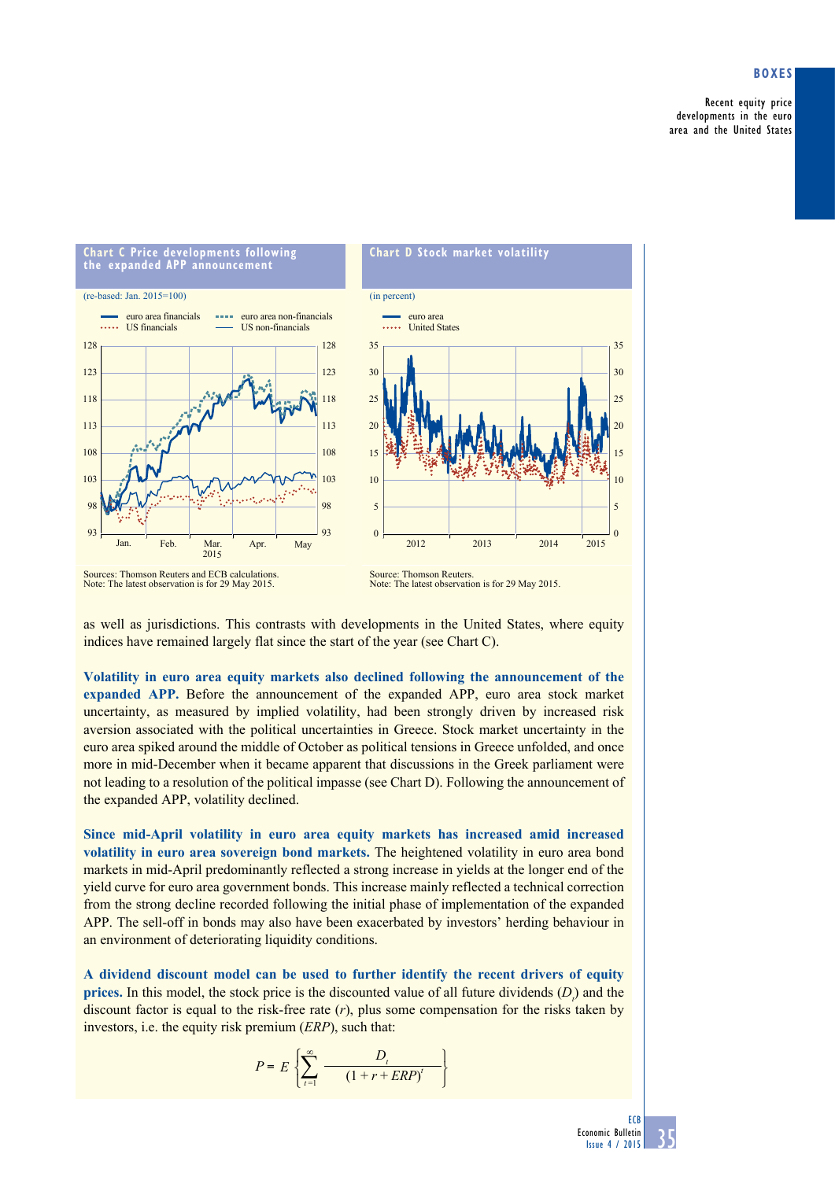# **Boxes**

Recent equity price developments in the euro area and the United States



Sources: Thomson Reuters and ECB calculations. Note: The latest observation is for 29 May 2015.

Source: Thomson Reuters. Note: The latest observation is for 29 May 2015.

as well as jurisdictions. This contrasts with developments in the United States, where equity indices have remained largely flat since the start of the year (see Chart C).

**Volatility in euro area equity markets also declined following the announcement of the expanded APP.** Before the announcement of the expanded APP, euro area stock market uncertainty, as measured by implied volatility, had been strongly driven by increased risk aversion associated with the political uncertainties in Greece. Stock market uncertainty in the euro area spiked around the middle of October as political tensions in Greece unfolded, and once more in mid-December when it became apparent that discussions in the Greek parliament were not leading to a resolution of the political impasse (see Chart D). Following the announcement of the expanded APP, volatility declined.

**Since mid-April volatility in euro area equity markets has increased amid increased volatility in euro area sovereign bond markets.** The heightened volatility in euro area bond markets in mid-April predominantly reflected a strong increase in yields at the longer end of the yield curve for euro area government bonds. This increase mainly reflected a technical correction from the strong decline recorded following the initial phase of implementation of the expanded APP. The sell-off in bonds may also have been exacerbated by investors' herding behaviour in an environment of deteriorating liquidity conditions.

**A dividend discount model can be used to further identify the recent drivers of equity prices.** In this model, the stock price is the discounted value of all future dividends  $(D_i)$  and the discount factor is equal to the risk-free rate  $(r)$ , plus some compensation for the risks taken by investors, i.e. the equity risk premium (*ERP*), such that:

$$
P = E\left\{\sum_{t=1}^{\infty} \frac{D_t}{(1+r+ERP)^t}\right\}
$$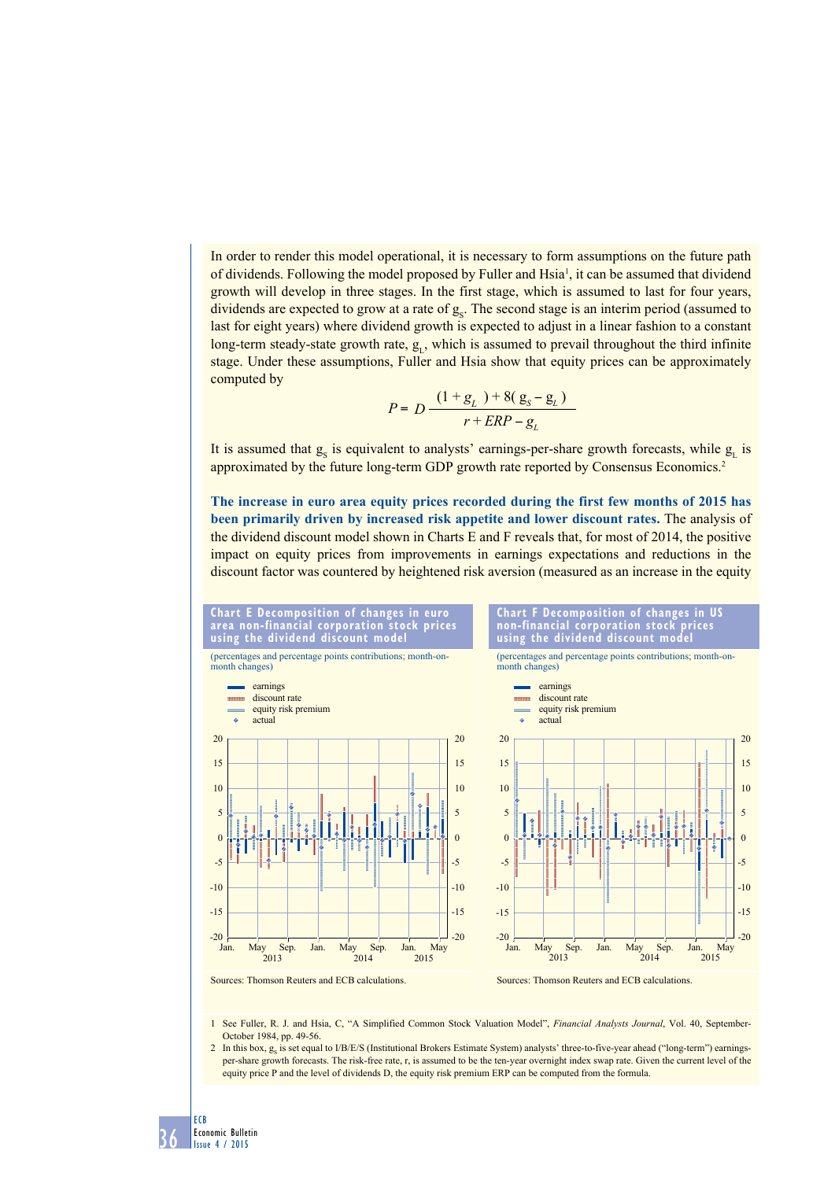In order to render this model operational, it is necessary to form assumptions on the future path of dividends. Following the model proposed by Fuller and Hsia<sup>1</sup>, it can be assumed that dividend growth will develop in three stages. In the first stage, which is assumed to last for four years, dividends are expected to grow at a rate of  $g<sub>s</sub>$ . The second stage is an interim period (assumed to last for eight years) where dividend growth is expected to adjust in a linear fashion to a constant long-term steady-state growth rate,  $g_L$ , which is assumed to prevail throughout the third infinite stage. Under these assumptions, Fuller and Hsia show that equity prices can be approximately computed by

$$
P = D \frac{(1+g_L) + 8(g_S - g_L)}{r + ERP - g_L}
$$

It is assumed that  $g_s$  is equivalent to analysts' earnings-per-share growth forecasts, while  $g_L$  is approximated by the future long-term GDP growth rate reported by Consensus Economics.2

**The increase in euro area equity prices recorded during the first few months of 2015 has been primarily driven by increased risk appetite and lower discount rates.** The analysis of the dividend discount model shown in Charts E and F reveals that, for most of 2014, the positive impact on equity prices from improvements in earnings expectations and reductions in the discount factor was countered by heightened risk aversion (measured as an increase in the equity



1 See Fuller, R. J. and Hsia, C, "A Simplified Common Stock Valuation Model", *Financial Analysts Journal*, Vol. 40, September-October 1984, pp. 49-56.

2 In this box,  $g_s$  is set equal to I/B/E/S (Institutional Brokers Estimate System) analysts' three-to-five-year ahead ("long-term") earningsper-share growth forecasts. The risk-free rate, r, is assumed to be the ten-year overnight index swap rate. Given the current level of the equity price P and the level of dividends D, the equity risk premium ERP can be computed from the formula.

36

ECB

Economic Bulletin Issue 4 / 2015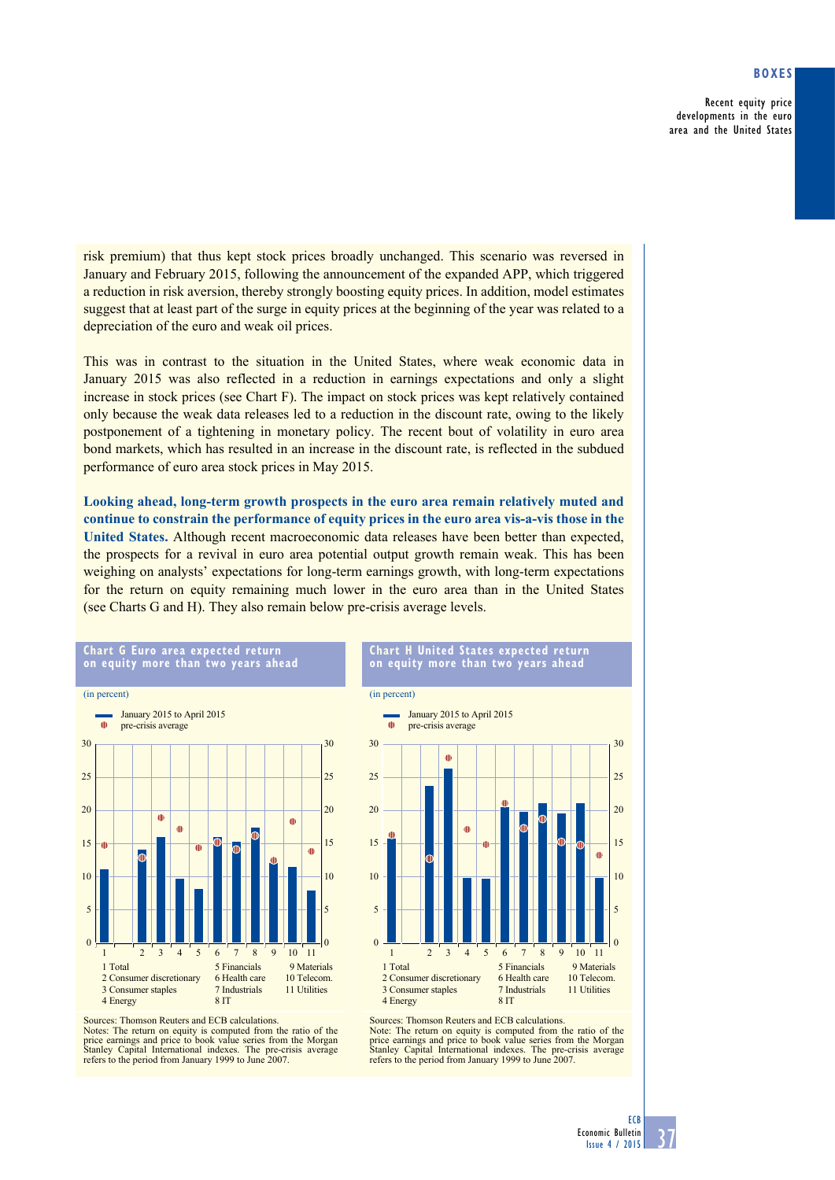# **Boxes**

Recent equity price developments in the euro area and the United States

risk premium) that thus kept stock prices broadly unchanged. This scenario was reversed in January and February 2015, following the announcement of the expanded APP, which triggered a reduction in risk aversion, thereby strongly boosting equity prices. In addition, model estimates suggest that at least part of the surge in equity prices at the beginning of the year was related to a depreciation of the euro and weak oil prices.

This was in contrast to the situation in the United States, where weak economic data in January 2015 was also reflected in a reduction in earnings expectations and only a slight increase in stock prices (see Chart F). The impact on stock prices was kept relatively contained only because the weak data releases led to a reduction in the discount rate, owing to the likely postponement of a tightening in monetary policy. The recent bout of volatility in euro area bond markets, which has resulted in an increase in the discount rate, is reflected in the subdued performance of euro area stock prices in May 2015.

**Looking ahead, long-term growth prospects in the euro area remain relatively muted and continue to constrain the performance of equity prices in the euro area vis-a-vis those in the United States.** Although recent macroeconomic data releases have been better than expected, the prospects for a revival in euro area potential output growth remain weak. This has been weighing on analysts' expectations for long-term earnings growth, with long-term expectations for the return on equity remaining much lower in the euro area than in the United States (see Charts G and H). They also remain below pre-crisis average levels.

(in percent)



**Chart H United States expected return on equity more than two years ahead**



Sources: Thomson Reuters and ECB calculations. Notes: The return on equity is computed from the ratio of the price earnings and price to book value series from the Morgan Stanley Capital International indexes. The pre-crisis average refers to the period from January 1999 to June 2007.